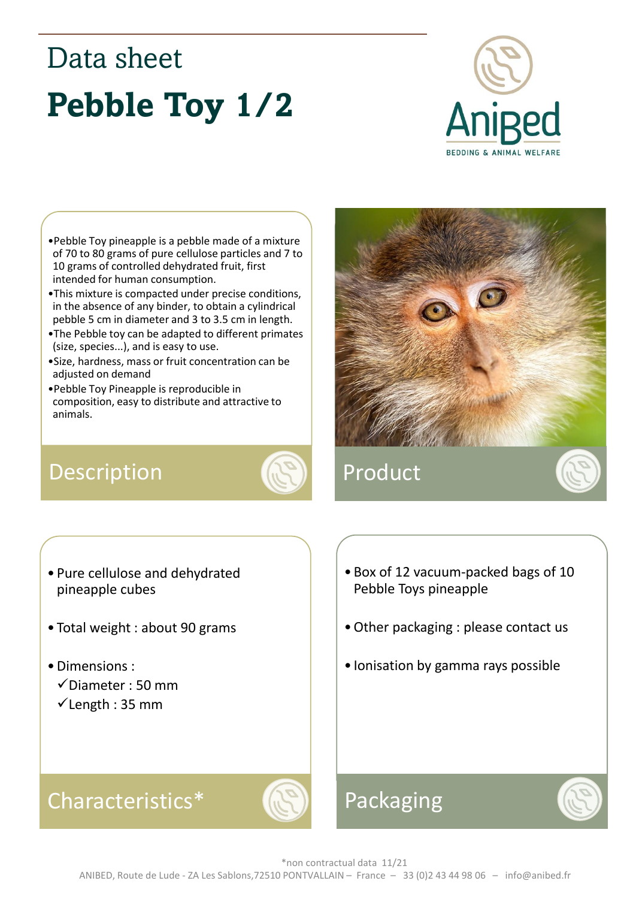# Data sheet **Pebble Toy 1/2**



- •Pebble Toy pineapple is a pebble made of a mixture of 70 to 80 grams of pure cellulose particles and 7 to 10 grams of controlled dehydrated fruit, first intended for human consumption.
- •This mixture is compacted under precise conditions, in the absence of any binder, to obtain a cylindrical pebble 5 cm in diameter and 3 to 3.5 cm in length.
- •The Pebble toy can be adapted to different primates (size, species...), and is easy to use.
- •Size, hardness, mass or fruit concentration can be adjusted on demand
- •Pebble Toy Pineapple is reproducible in composition, easy to distribute and attractive to animals.

### Description **AD** Product





- Pure cellulose and dehydrated pineapple cubes
- Total weight : about 90 grams
- •Dimensions :
	- ✓Diameter : 50 mm
	- $\checkmark$  Length : 35 mm
- Box of 12 vacuum-packed bags of 10 Pebble Toys pineapple
- •Other packaging : please contact us
- Ionisation by gamma rays possible

#### Characteristics\*



## Packaging